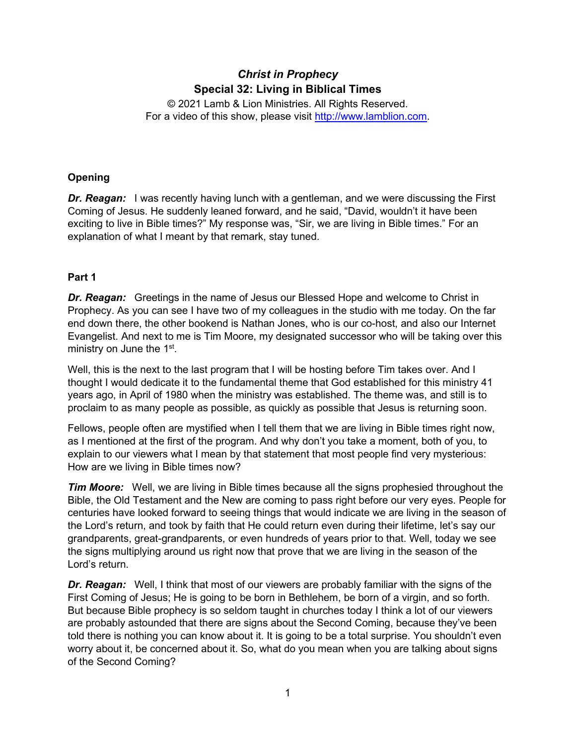# *Christ in Prophecy* **Special 32: Living in Biblical Times**

© 2021 Lamb & Lion Ministries. All Rights Reserved. For a video of this show, please visit [http://www.lamblion.com.](http://www.lamblion.com/)

## **Opening**

*Dr. Reagan:* I was recently having lunch with a gentleman, and we were discussing the First Coming of Jesus. He suddenly leaned forward, and he said, "David, wouldn't it have been exciting to live in Bible times?" My response was, "Sir, we are living in Bible times." For an explanation of what I meant by that remark, stay tuned.

## **Part 1**

*Dr. Reagan:* Greetings in the name of Jesus our Blessed Hope and welcome to Christ in Prophecy. As you can see I have two of my colleagues in the studio with me today. On the far end down there, the other bookend is Nathan Jones, who is our co-host, and also our Internet Evangelist. And next to me is Tim Moore, my designated successor who will be taking over this ministry on June the 1<sup>st</sup>.

Well, this is the next to the last program that I will be hosting before Tim takes over. And I thought I would dedicate it to the fundamental theme that God established for this ministry 41 years ago, in April of 1980 when the ministry was established. The theme was, and still is to proclaim to as many people as possible, as quickly as possible that Jesus is returning soon.

Fellows, people often are mystified when I tell them that we are living in Bible times right now, as I mentioned at the first of the program. And why don't you take a moment, both of you, to explain to our viewers what I mean by that statement that most people find very mysterious: How are we living in Bible times now?

*Tim Moore:* Well, we are living in Bible times because all the signs prophesied throughout the Bible, the Old Testament and the New are coming to pass right before our very eyes. People for centuries have looked forward to seeing things that would indicate we are living in the season of the Lord's return, and took by faith that He could return even during their lifetime, let's say our grandparents, great-grandparents, or even hundreds of years prior to that. Well, today we see the signs multiplying around us right now that prove that we are living in the season of the Lord's return.

*Dr. Reagan:* Well, I think that most of our viewers are probably familiar with the signs of the First Coming of Jesus; He is going to be born in Bethlehem, be born of a virgin, and so forth. But because Bible prophecy is so seldom taught in churches today I think a lot of our viewers are probably astounded that there are signs about the Second Coming, because they've been told there is nothing you can know about it. It is going to be a total surprise. You shouldn't even worry about it, be concerned about it. So, what do you mean when you are talking about signs of the Second Coming?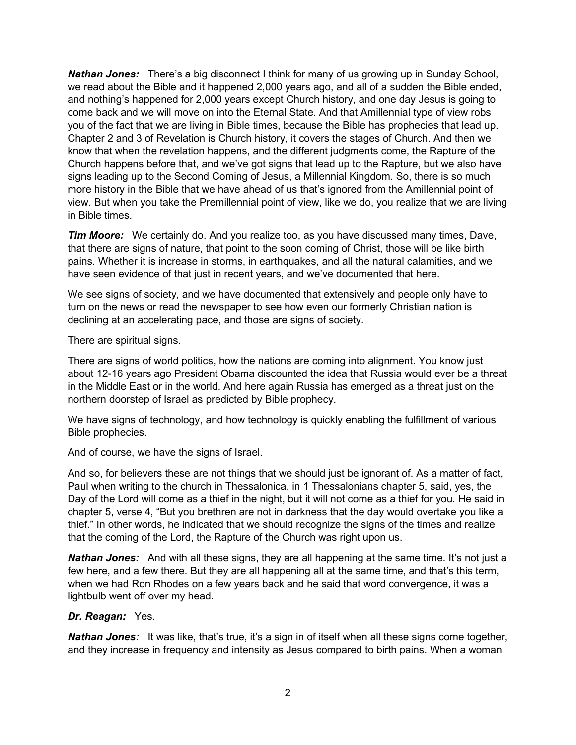*Nathan Jones:* There's a big disconnect I think for many of us growing up in Sunday School, we read about the Bible and it happened 2,000 years ago, and all of a sudden the Bible ended, and nothing's happened for 2,000 years except Church history, and one day Jesus is going to come back and we will move on into the Eternal State. And that Amillennial type of view robs you of the fact that we are living in Bible times, because the Bible has prophecies that lead up. Chapter 2 and 3 of Revelation is Church history, it covers the stages of Church. And then we know that when the revelation happens, and the different judgments come, the Rapture of the Church happens before that, and we've got signs that lead up to the Rapture, but we also have signs leading up to the Second Coming of Jesus, a Millennial Kingdom. So, there is so much more history in the Bible that we have ahead of us that's ignored from the Amillennial point of view. But when you take the Premillennial point of view, like we do, you realize that we are living in Bible times.

*Tim Moore:* We certainly do. And you realize too, as you have discussed many times, Dave, that there are signs of nature, that point to the soon coming of Christ, those will be like birth pains. Whether it is increase in storms, in earthquakes, and all the natural calamities, and we have seen evidence of that just in recent years, and we've documented that here.

We see signs of society, and we have documented that extensively and people only have to turn on the news or read the newspaper to see how even our formerly Christian nation is declining at an accelerating pace, and those are signs of society.

There are spiritual signs.

There are signs of world politics, how the nations are coming into alignment. You know just about 12-16 years ago President Obama discounted the idea that Russia would ever be a threat in the Middle East or in the world. And here again Russia has emerged as a threat just on the northern doorstep of Israel as predicted by Bible prophecy.

We have signs of technology, and how technology is quickly enabling the fulfillment of various Bible prophecies.

And of course, we have the signs of Israel.

And so, for believers these are not things that we should just be ignorant of. As a matter of fact, Paul when writing to the church in Thessalonica, in 1 Thessalonians chapter 5, said, yes, the Day of the Lord will come as a thief in the night, but it will not come as a thief for you. He said in chapter 5, verse 4, "But you brethren are not in darkness that the day would overtake you like a thief." In other words, he indicated that we should recognize the signs of the times and realize that the coming of the Lord, the Rapture of the Church was right upon us.

**Nathan Jones:** And with all these signs, they are all happening at the same time. It's not just a few here, and a few there. But they are all happening all at the same time, and that's this term, when we had Ron Rhodes on a few years back and he said that word convergence, it was a lightbulb went off over my head.

### *Dr. Reagan:* Yes.

**Nathan Jones:** It was like, that's true, it's a sign in of itself when all these signs come together, and they increase in frequency and intensity as Jesus compared to birth pains. When a woman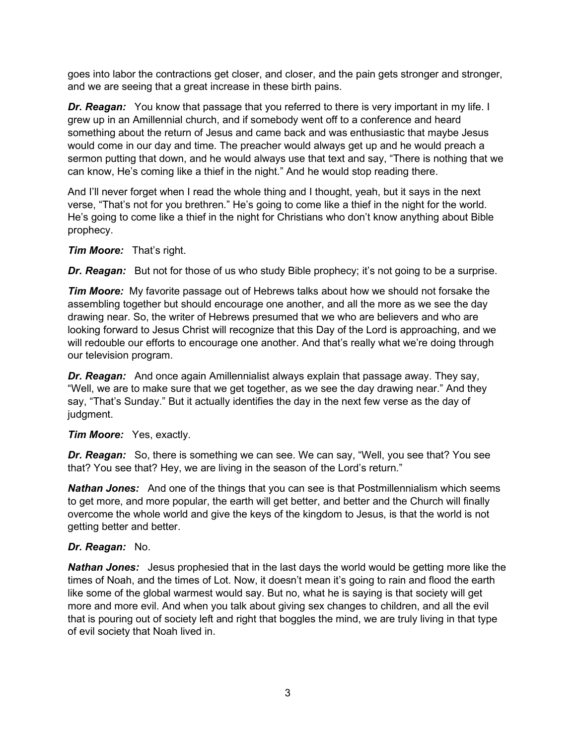goes into labor the contractions get closer, and closer, and the pain gets stronger and stronger, and we are seeing that a great increase in these birth pains.

*Dr. Reagan:* You know that passage that you referred to there is very important in my life. I grew up in an Amillennial church, and if somebody went off to a conference and heard something about the return of Jesus and came back and was enthusiastic that maybe Jesus would come in our day and time. The preacher would always get up and he would preach a sermon putting that down, and he would always use that text and say, "There is nothing that we can know, He's coming like a thief in the night." And he would stop reading there.

And I'll never forget when I read the whole thing and I thought, yeah, but it says in the next verse, "That's not for you brethren." He's going to come like a thief in the night for the world. He's going to come like a thief in the night for Christians who don't know anything about Bible prophecy.

## *Tim Moore:* That's right.

*Dr. Reagan:* But not for those of us who study Bible prophecy; it's not going to be a surprise.

*Tim Moore:* My favorite passage out of Hebrews talks about how we should not forsake the assembling together but should encourage one another, and all the more as we see the day drawing near. So, the writer of Hebrews presumed that we who are believers and who are looking forward to Jesus Christ will recognize that this Day of the Lord is approaching, and we will redouble our efforts to encourage one another. And that's really what we're doing through our television program.

*Dr. Reagan:* And once again Amillennialist always explain that passage away. They say, "Well, we are to make sure that we get together, as we see the day drawing near." And they say, "That's Sunday." But it actually identifies the day in the next few verse as the day of judgment.

### *Tim Moore:* Yes, exactly.

*Dr. Reagan:* So, there is something we can see. We can say, "Well, you see that? You see that? You see that? Hey, we are living in the season of the Lord's return."

*Nathan Jones:* And one of the things that you can see is that Postmillennialism which seems to get more, and more popular, the earth will get better, and better and the Church will finally overcome the whole world and give the keys of the kingdom to Jesus, is that the world is not getting better and better.

### *Dr. Reagan:* No.

*Nathan Jones:* Jesus prophesied that in the last days the world would be getting more like the times of Noah, and the times of Lot. Now, it doesn't mean it's going to rain and flood the earth like some of the global warmest would say. But no, what he is saying is that society will get more and more evil. And when you talk about giving sex changes to children, and all the evil that is pouring out of society left and right that boggles the mind, we are truly living in that type of evil society that Noah lived in.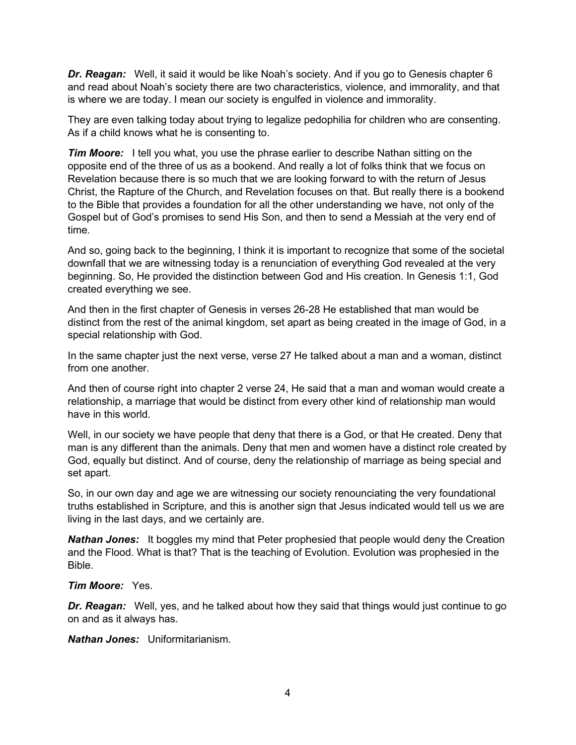*Dr. Reagan:* Well, it said it would be like Noah's society. And if you go to Genesis chapter 6 and read about Noah's society there are two characteristics, violence, and immorality, and that is where we are today. I mean our society is engulfed in violence and immorality.

They are even talking today about trying to legalize pedophilia for children who are consenting. As if a child knows what he is consenting to.

*Tim Moore:* I tell you what, you use the phrase earlier to describe Nathan sitting on the opposite end of the three of us as a bookend. And really a lot of folks think that we focus on Revelation because there is so much that we are looking forward to with the return of Jesus Christ, the Rapture of the Church, and Revelation focuses on that. But really there is a bookend to the Bible that provides a foundation for all the other understanding we have, not only of the Gospel but of God's promises to send His Son, and then to send a Messiah at the very end of time.

And so, going back to the beginning, I think it is important to recognize that some of the societal downfall that we are witnessing today is a renunciation of everything God revealed at the very beginning. So, He provided the distinction between God and His creation. In Genesis 1:1, God created everything we see.

And then in the first chapter of Genesis in verses 26-28 He established that man would be distinct from the rest of the animal kingdom, set apart as being created in the image of God, in a special relationship with God.

In the same chapter just the next verse, verse 27 He talked about a man and a woman, distinct from one another.

And then of course right into chapter 2 verse 24, He said that a man and woman would create a relationship, a marriage that would be distinct from every other kind of relationship man would have in this world.

Well, in our society we have people that deny that there is a God, or that He created. Deny that man is any different than the animals. Deny that men and women have a distinct role created by God, equally but distinct. And of course, deny the relationship of marriage as being special and set apart.

So, in our own day and age we are witnessing our society renounciating the very foundational truths established in Scripture, and this is another sign that Jesus indicated would tell us we are living in the last days, and we certainly are.

**Nathan Jones:** It boggles my mind that Peter prophesied that people would deny the Creation and the Flood. What is that? That is the teaching of Evolution. Evolution was prophesied in the Bible.

#### *Tim Moore:* Yes.

*Dr. Reagan:* Well, yes, and he talked about how they said that things would just continue to go on and as it always has.

*Nathan Jones:* Uniformitarianism.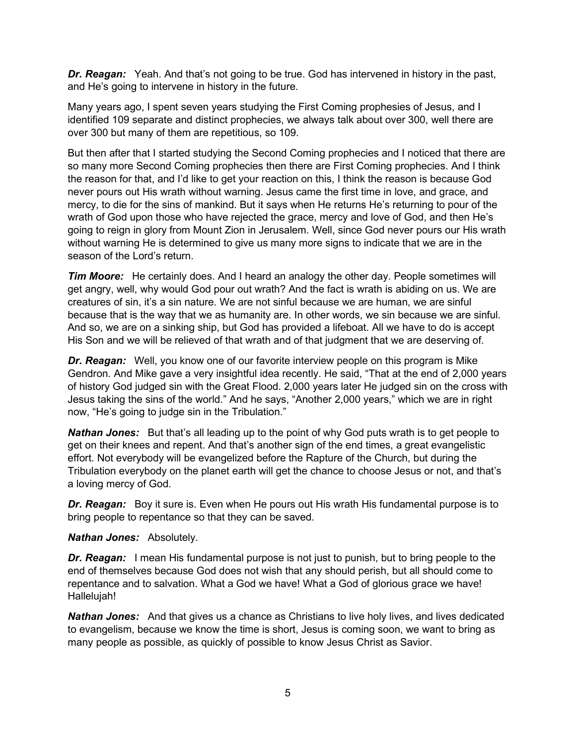*Dr. Reagan:* Yeah. And that's not going to be true. God has intervened in history in the past, and He's going to intervene in history in the future.

Many years ago, I spent seven years studying the First Coming prophesies of Jesus, and I identified 109 separate and distinct prophecies, we always talk about over 300, well there are over 300 but many of them are repetitious, so 109.

But then after that I started studying the Second Coming prophecies and I noticed that there are so many more Second Coming prophecies then there are First Coming prophecies. And I think the reason for that, and I'd like to get your reaction on this, I think the reason is because God never pours out His wrath without warning. Jesus came the first time in love, and grace, and mercy, to die for the sins of mankind. But it says when He returns He's returning to pour of the wrath of God upon those who have rejected the grace, mercy and love of God, and then He's going to reign in glory from Mount Zion in Jerusalem. Well, since God never pours our His wrath without warning He is determined to give us many more signs to indicate that we are in the season of the Lord's return.

*Tim Moore:* He certainly does. And I heard an analogy the other day. People sometimes will get angry, well, why would God pour out wrath? And the fact is wrath is abiding on us. We are creatures of sin, it's a sin nature. We are not sinful because we are human, we are sinful because that is the way that we as humanity are. In other words, we sin because we are sinful. And so, we are on a sinking ship, but God has provided a lifeboat. All we have to do is accept His Son and we will be relieved of that wrath and of that judgment that we are deserving of.

*Dr. Reagan:* Well, you know one of our favorite interview people on this program is Mike Gendron. And Mike gave a very insightful idea recently. He said, "That at the end of 2,000 years of history God judged sin with the Great Flood. 2,000 years later He judged sin on the cross with Jesus taking the sins of the world." And he says, "Another 2,000 years," which we are in right now, "He's going to judge sin in the Tribulation."

*Nathan Jones:* But that's all leading up to the point of why God puts wrath is to get people to get on their knees and repent. And that's another sign of the end times, a great evangelistic effort. Not everybody will be evangelized before the Rapture of the Church, but during the Tribulation everybody on the planet earth will get the chance to choose Jesus or not, and that's a loving mercy of God.

*Dr. Reagan:* Boy it sure is. Even when He pours out His wrath His fundamental purpose is to bring people to repentance so that they can be saved.

### *Nathan Jones:* Absolutely.

**Dr. Reagan:** I mean His fundamental purpose is not just to punish, but to bring people to the end of themselves because God does not wish that any should perish, but all should come to repentance and to salvation. What a God we have! What a God of glorious grace we have! Hallelujah!

*Nathan Jones:* And that gives us a chance as Christians to live holy lives, and lives dedicated to evangelism, because we know the time is short, Jesus is coming soon, we want to bring as many people as possible, as quickly of possible to know Jesus Christ as Savior.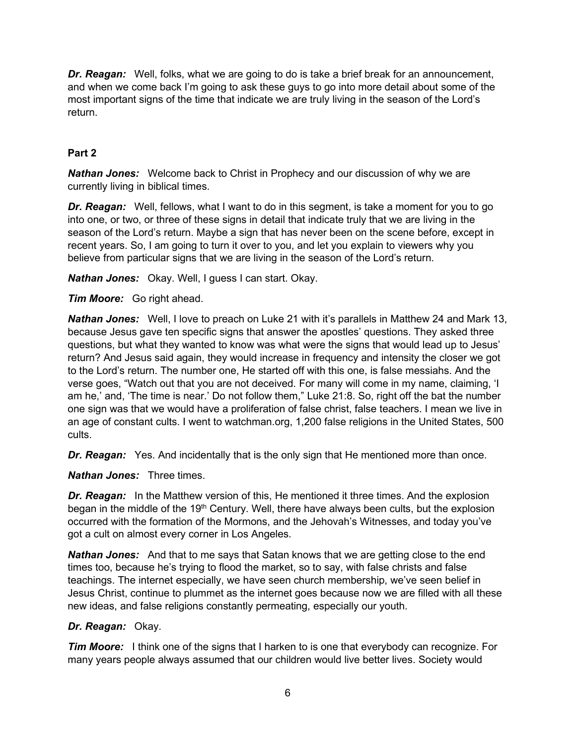*Dr. Reagan:* Well, folks, what we are going to do is take a brief break for an announcement, and when we come back I'm going to ask these guys to go into more detail about some of the most important signs of the time that indicate we are truly living in the season of the Lord's return.

## **Part 2**

*Nathan Jones:* Welcome back to Christ in Prophecy and our discussion of why we are currently living in biblical times.

**Dr. Reagan:** Well, fellows, what I want to do in this segment, is take a moment for you to go into one, or two, or three of these signs in detail that indicate truly that we are living in the season of the Lord's return. Maybe a sign that has never been on the scene before, except in recent years. So, I am going to turn it over to you, and let you explain to viewers why you believe from particular signs that we are living in the season of the Lord's return.

*Nathan Jones:* Okay. Well, I guess I can start. Okay.

*Tim Moore:* Go right ahead.

*Nathan Jones:* Well, I love to preach on Luke 21 with it's parallels in Matthew 24 and Mark 13, because Jesus gave ten specific signs that answer the apostles' questions. They asked three questions, but what they wanted to know was what were the signs that would lead up to Jesus' return? And Jesus said again, they would increase in frequency and intensity the closer we got to the Lord's return. The number one, He started off with this one, is false messiahs. And the verse goes, "Watch out that you are not deceived. For many will come in my name, claiming, 'I am he,' and, 'The time is near.' Do not follow them," Luke 21:8. So, right off the bat the number one sign was that we would have a proliferation of false christ, false teachers. I mean we live in an age of constant cults. I went to watchman.org, 1,200 false religions in the United States, 500 cults.

**Dr. Reagan:** Yes. And incidentally that is the only sign that He mentioned more than once.

*Nathan Jones:* Three times.

*Dr. Reagan:* In the Matthew version of this, He mentioned it three times. And the explosion began in the middle of the 19<sup>th</sup> Century. Well, there have always been cults, but the explosion occurred with the formation of the Mormons, and the Jehovah's Witnesses, and today you've got a cult on almost every corner in Los Angeles.

*Nathan Jones:* And that to me says that Satan knows that we are getting close to the end times too, because he's trying to flood the market, so to say, with false christs and false teachings. The internet especially, we have seen church membership, we've seen belief in Jesus Christ, continue to plummet as the internet goes because now we are filled with all these new ideas, and false religions constantly permeating, especially our youth.

### *Dr. Reagan:* Okay.

*Tim Moore:* I think one of the signs that I harken to is one that everybody can recognize. For many years people always assumed that our children would live better lives. Society would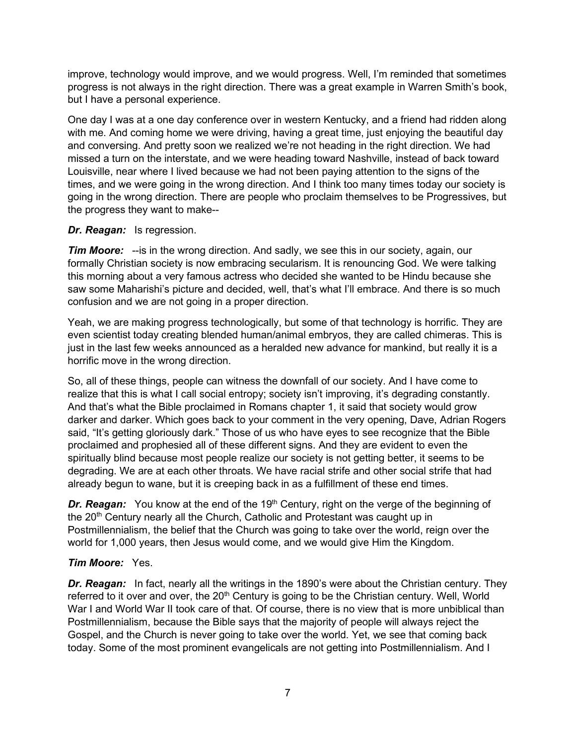improve, technology would improve, and we would progress. Well, I'm reminded that sometimes progress is not always in the right direction. There was a great example in Warren Smith's book, but I have a personal experience.

One day I was at a one day conference over in western Kentucky, and a friend had ridden along with me. And coming home we were driving, having a great time, just enjoying the beautiful day and conversing. And pretty soon we realized we're not heading in the right direction. We had missed a turn on the interstate, and we were heading toward Nashville, instead of back toward Louisville, near where I lived because we had not been paying attention to the signs of the times, and we were going in the wrong direction. And I think too many times today our society is going in the wrong direction. There are people who proclaim themselves to be Progressives, but the progress they want to make--

### *Dr. Reagan:* Is regression.

*Tim Moore:* --is in the wrong direction. And sadly, we see this in our society, again, our formally Christian society is now embracing secularism. It is renouncing God. We were talking this morning about a very famous actress who decided she wanted to be Hindu because she saw some Maharishi's picture and decided, well, that's what I'll embrace. And there is so much confusion and we are not going in a proper direction.

Yeah, we are making progress technologically, but some of that technology is horrific. They are even scientist today creating blended human/animal embryos, they are called chimeras. This is just in the last few weeks announced as a heralded new advance for mankind, but really it is a horrific move in the wrong direction.

So, all of these things, people can witness the downfall of our society. And I have come to realize that this is what I call social entropy; society isn't improving, it's degrading constantly. And that's what the Bible proclaimed in Romans chapter 1, it said that society would grow darker and darker. Which goes back to your comment in the very opening, Dave, Adrian Rogers said, "It's getting gloriously dark." Those of us who have eyes to see recognize that the Bible proclaimed and prophesied all of these different signs. And they are evident to even the spiritually blind because most people realize our society is not getting better, it seems to be degrading. We are at each other throats. We have racial strife and other social strife that had already begun to wane, but it is creeping back in as a fulfillment of these end times.

**Dr. Reagan:** You know at the end of the 19<sup>th</sup> Century, right on the verge of the beginning of the 20<sup>th</sup> Century nearly all the Church, Catholic and Protestant was caught up in Postmillennialism, the belief that the Church was going to take over the world, reign over the world for 1,000 years, then Jesus would come, and we would give Him the Kingdom.

## *Tim Moore:* Yes.

*Dr. Reagan:* In fact, nearly all the writings in the 1890's were about the Christian century. They referred to it over and over, the 20<sup>th</sup> Century is going to be the Christian century. Well, World War I and World War II took care of that. Of course, there is no view that is more unbiblical than Postmillennialism, because the Bible says that the majority of people will always reject the Gospel, and the Church is never going to take over the world. Yet, we see that coming back today. Some of the most prominent evangelicals are not getting into Postmillennialism. And I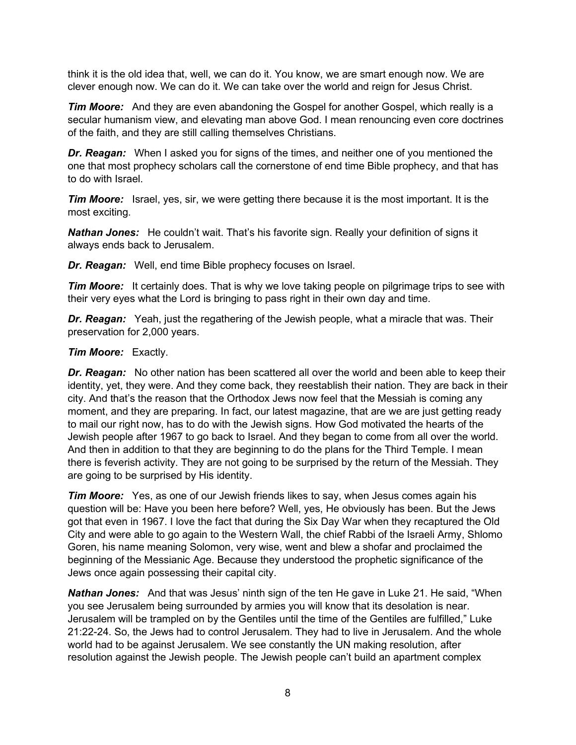think it is the old idea that, well, we can do it. You know, we are smart enough now. We are clever enough now. We can do it. We can take over the world and reign for Jesus Christ.

*Tim Moore:* And they are even abandoning the Gospel for another Gospel, which really is a secular humanism view, and elevating man above God. I mean renouncing even core doctrines of the faith, and they are still calling themselves Christians.

*Dr. Reagan:* When I asked you for signs of the times, and neither one of you mentioned the one that most prophecy scholars call the cornerstone of end time Bible prophecy, and that has to do with Israel.

*Tim Moore:* Israel, yes, sir, we were getting there because it is the most important. It is the most exciting.

*Nathan Jones:* He couldn't wait. That's his favorite sign. Really your definition of signs it always ends back to Jerusalem.

*Dr. Reagan:* Well, end time Bible prophecy focuses on Israel.

*Tim Moore:* It certainly does. That is why we love taking people on pilgrimage trips to see with their very eyes what the Lord is bringing to pass right in their own day and time.

*Dr. Reagan:* Yeah, just the regathering of the Jewish people, what a miracle that was. Their preservation for 2,000 years.

#### *Tim Moore:* Exactly.

*Dr. Reagan:* No other nation has been scattered all over the world and been able to keep their identity, yet, they were. And they come back, they reestablish their nation. They are back in their city. And that's the reason that the Orthodox Jews now feel that the Messiah is coming any moment, and they are preparing. In fact, our latest magazine, that are we are just getting ready to mail our right now, has to do with the Jewish signs. How God motivated the hearts of the Jewish people after 1967 to go back to Israel. And they began to come from all over the world. And then in addition to that they are beginning to do the plans for the Third Temple. I mean there is feverish activity. They are not going to be surprised by the return of the Messiah. They are going to be surprised by His identity.

*Tim Moore:* Yes, as one of our Jewish friends likes to say, when Jesus comes again his question will be: Have you been here before? Well, yes, He obviously has been. But the Jews got that even in 1967. I love the fact that during the Six Day War when they recaptured the Old City and were able to go again to the Western Wall, the chief Rabbi of the Israeli Army, Shlomo Goren, his name meaning Solomon, very wise, went and blew a shofar and proclaimed the beginning of the Messianic Age. Because they understood the prophetic significance of the Jews once again possessing their capital city.

*Nathan Jones:* And that was Jesus' ninth sign of the ten He gave in Luke 21. He said, "When you see Jerusalem being surrounded by armies you will know that its desolation is near. Jerusalem will be trampled on by the Gentiles until the time of the Gentiles are fulfilled," Luke 21:22-24. So, the Jews had to control Jerusalem. They had to live in Jerusalem. And the whole world had to be against Jerusalem. We see constantly the UN making resolution, after resolution against the Jewish people. The Jewish people can't build an apartment complex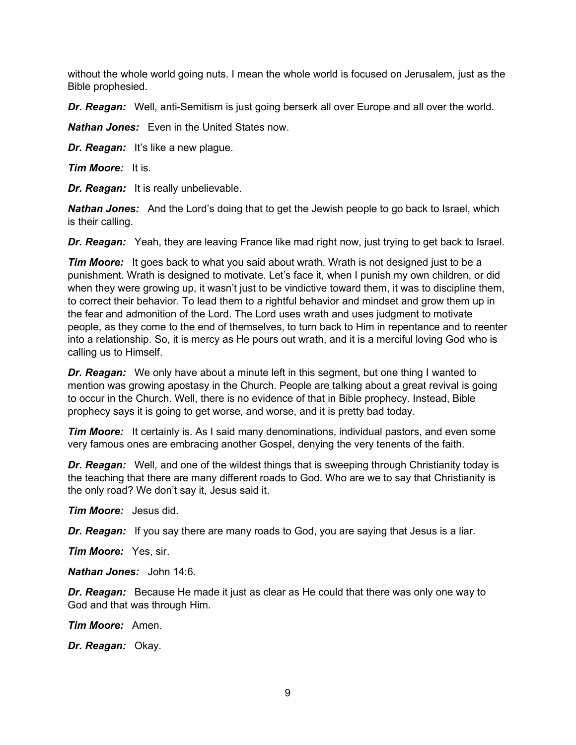without the whole world going nuts. I mean the whole world is focused on Jerusalem, just as the Bible prophesied.

*Dr. Reagan:* Well, anti-Semitism is just going berserk all over Europe and all over the world.

*Nathan Jones:* Even in the United States now.

*Dr. Reagan:* It's like a new plague.

*Tim Moore:* It is.

*Dr. Reagan:* It is really unbelievable.

*Nathan Jones:* And the Lord's doing that to get the Jewish people to go back to Israel, which is their calling.

**Dr. Reagan:** Yeah, they are leaving France like mad right now, just trying to get back to Israel.

*Tim Moore:* It goes back to what you said about wrath. Wrath is not designed just to be a punishment. Wrath is designed to motivate. Let's face it, when I punish my own children, or did when they were growing up, it wasn't just to be vindictive toward them, it was to discipline them, to correct their behavior. To lead them to a rightful behavior and mindset and grow them up in the fear and admonition of the Lord. The Lord uses wrath and uses judgment to motivate people, as they come to the end of themselves, to turn back to Him in repentance and to reenter into a relationship. So, it is mercy as He pours out wrath, and it is a merciful loving God who is calling us to Himself.

*Dr. Reagan:* We only have about a minute left in this segment, but one thing I wanted to mention was growing apostasy in the Church. People are talking about a great revival is going to occur in the Church. Well, there is no evidence of that in Bible prophecy. Instead, Bible prophecy says it is going to get worse, and worse, and it is pretty bad today.

*Tim Moore:* It certainly is. As I said many denominations, individual pastors, and even some very famous ones are embracing another Gospel, denying the very tenents of the faith.

**Dr. Reagan:** Well, and one of the wildest things that is sweeping through Christianity today is the teaching that there are many different roads to God. Who are we to say that Christianity is the only road? We don't say it, Jesus said it.

*Tim Moore:* Jesus did.

*Dr. Reagan:* If you say there are many roads to God, you are saying that Jesus is a liar.

*Tim Moore:* Yes, sir.

*Nathan Jones:* John 14:6.

*Dr. Reagan:* Because He made it just as clear as He could that there was only one way to God and that was through Him.

*Tim Moore:* Amen.

*Dr. Reagan:* Okay.